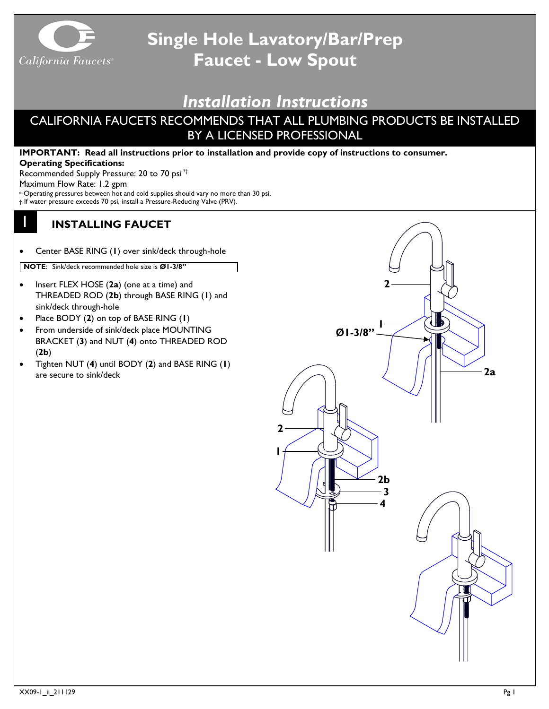

# **Single Hole Lavatory/Bar/Prep Faucet - Low Spout**

## *Installation Instructions*

### CALIFORNIA FAUCETS RECOMMENDS THAT ALL PLUMBING PRODUCTS BE INSTALLED BY A LICENSED PROFESSIONAL

#### **IMPORTANT: Read all instructions prior to installation and provide copy of instructions to consumer. Operating Specifications:**

Recommended Supply Pressure: 20 to 70 psi \*†

Maximum Flow Rate: 1.2 gpm

1

- \* Operating pressures between hot and cold supplies should vary no more than 30 psi.
- † If water pressure exceeds 70 psi, install a Pressure-Reducing Valve (PRV).

### **INSTALLING FAUCET**

• Center BASE RING (**1**) over sink/deck through-hole

**NOTE**: Sink/deck recommended hole size is **Ø1-3/8"**

- Insert FLEX HOSE (**2a**) (one at a time) and THREADED ROD (**2b**) through BASE RING (**1**) and sink/deck through-hole
- Place BODY (**2**) on top of BASE RING (**1**)
- From underside of sink/deck place MOUNTING BRACKET (**3**) and NUT (**4**) onto THREADED ROD (**2b**)
- Tighten NUT (**4**) until BODY (**2**) and BASE RING (**1**) are secure to sink/deck